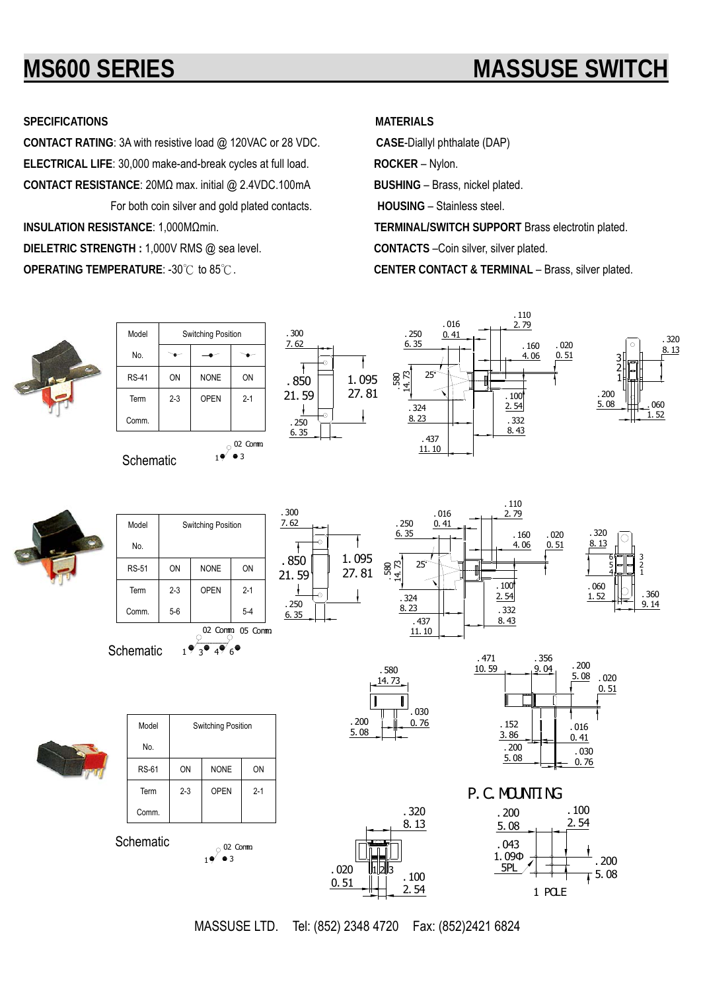### **MS600 SERIES MASSUSE SWITCH**

### **SPECIFICATIONS MATERIALS**

**CONTACT RATING**: 3A with resistive load @ 120VAC or 28 VDC. **CASE**-Diallyl phthalate (DAP) **ELECTRICAL LIFE**: 30,000 make-and-break cycles at full load. **ROCKER** – Nylon. **CONTACT RESISTANCE**: 20MΩ max. initial @ 2.4VDC.100mA **BUSHING** – Brass, nickel plated. For both coin silver and gold plated contacts. **HOUSING** – Stainless steel. **INSULATION RESISTANCE**: 1,000MΩmin. **TERMINAL/SWITCH SUPPORT** Brass electrotin plated. **DIELETRIC STRENGTH :** 1,000V RMS @ sea level. **CONTACTS** –Coin silver, silver plated.

**OPERATING TEMPERATURE: -30℃ to 85℃.**  $\blacksquare$  **CENTER CONTACT & TERMINAL** – Brass, silver plated.

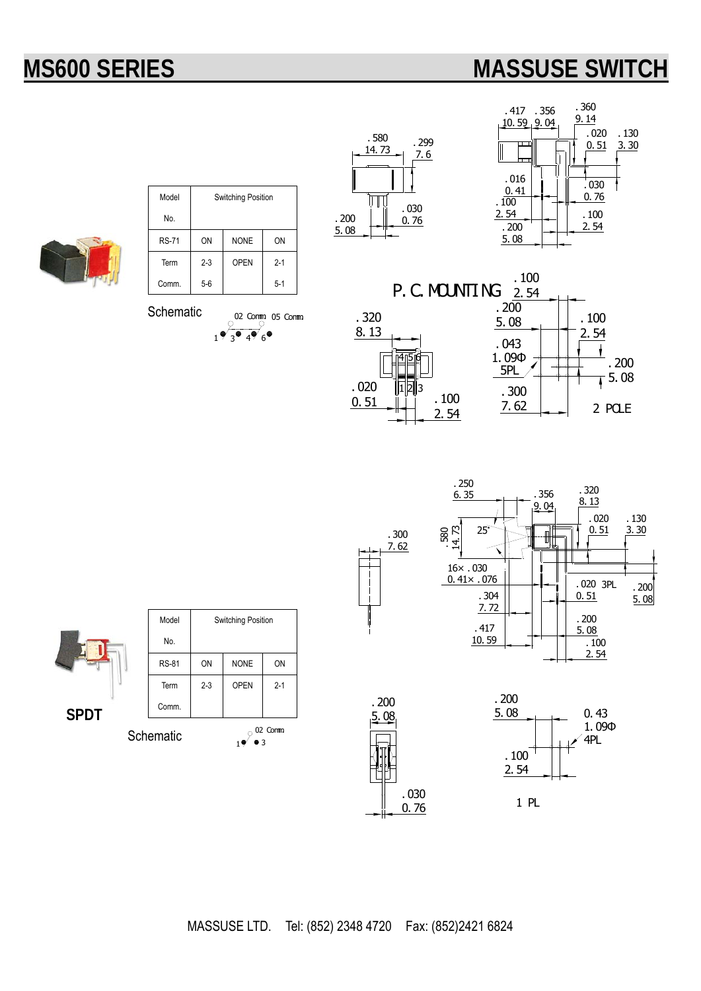# **MS600 SERIES** MASSUSE SWITCH



| Model                                       | Switching Position |             |         |  |
|---------------------------------------------|--------------------|-------------|---------|--|
| No.                                         |                    |             |         |  |
| <b>RS-71</b>                                | ON                 | <b>NONE</b> | ON      |  |
| Term                                        | $2 - 3$            | <b>OPEN</b> | $2 - 1$ |  |
| Comm.                                       | $5-6$              |             | $5 - 1$ |  |
| Schematic<br><b>N5</b><br>n2<br>Comm<br>Com |                    |             |         |  |

1

02 Comm.  $3 - 476$ 

05 Comm.









. 580 14. 73 . 250  $6.35$  . 356 9. 04 . 304 7. 72  $25^\circ$  . 300  $\frac{1}{25}$   $25^\circ$ 7. 62 16× . 030  $0.41 \times 0.076$ . 417 10. 59 . 200 5. 08 .  $\bar{10}0$ 2. 54 . 200 5. 08 . 130 3. 30 . 020 0. 51 . 320 8. 13 . 020 3PL  $0.51$ 



|                                         | Model        | Switching Position |             |         |  |
|-----------------------------------------|--------------|--------------------|-------------|---------|--|
|                                         | No.          |                    |             |         |  |
|                                         | <b>RS-81</b> | ON                 | <b>NONE</b> | ON      |  |
|                                         | Term         | $2 - 3$            | <b>OPEN</b> | $2 - 1$ |  |
|                                         | Comm.        |                    |             |         |  |
| Comm<br>02<br>$\mathbf{r}$ $\mathbf{r}$ |              |                    |             |         |  |